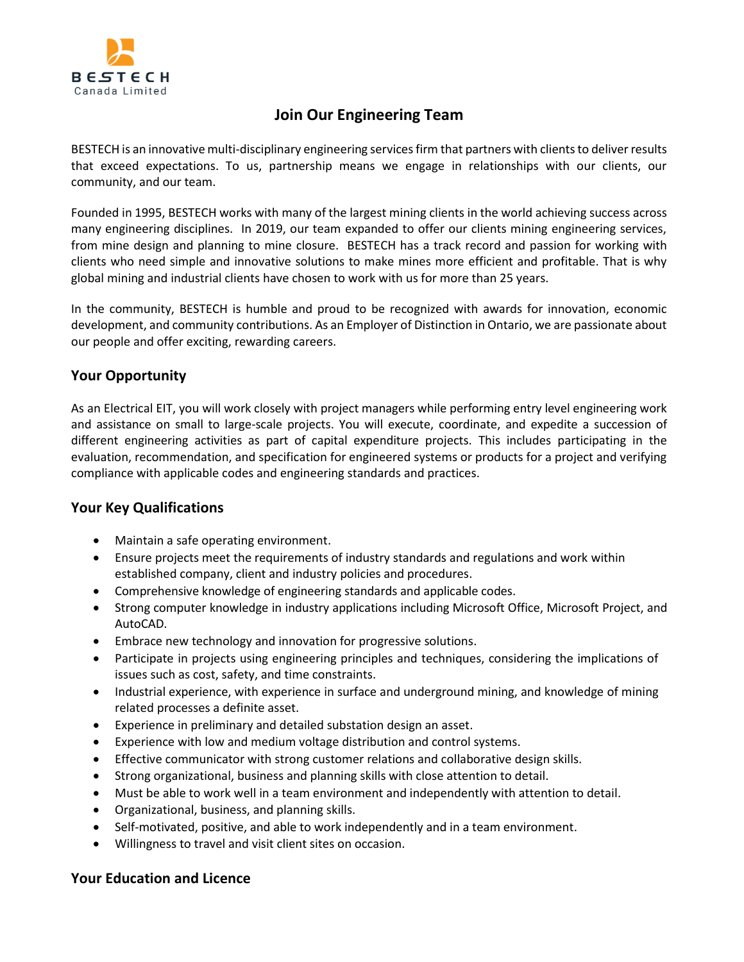

# **Join Our Engineering Team**

BESTECH is an innovative multi-disciplinary engineering services firm that partners with clients to deliver results that exceed expectations. To us, partnership means we engage in relationships with our clients, our community, and our team.

Founded in 1995, BESTECH works with many of the largest mining clients in the world achieving success across many engineering disciplines. In 2019, our team expanded to offer our clients mining engineering services, from mine design and planning to mine closure. BESTECH has a track record and passion for working with clients who need simple and innovative solutions to make mines more efficient and profitable. That is why global mining and industrial clients have chosen to work with us for more than 25 years.

In the community, BESTECH is humble and proud to be recognized with awards for innovation, economic development, and community contributions. As an Employer of Distinction in Ontario, we are passionate about our people and offer exciting, rewarding careers.

#### **Your Opportunity**

As an Electrical EIT, you will work closely with project managers while performing entry level engineering work and assistance on small to large-scale projects. You will execute, coordinate, and expedite a succession of different engineering activities as part of capital expenditure projects. This includes participating in the evaluation, recommendation, and specification for engineered systems or products for a project and verifying compliance with applicable codes and engineering standards and practices.

### **Your Key Qualifications**

- Maintain a safe operating environment.
- Ensure projects meet the requirements of industry standards and regulations and work within established company, client and industry policies and procedures.
- Comprehensive knowledge of engineering standards and applicable codes.
- Strong computer knowledge in industry applications including Microsoft Office, Microsoft Project, and AutoCAD.
- Embrace new technology and innovation for progressive solutions.
- Participate in projects using engineering principles and techniques, considering the implications of issues such as cost, safety, and time constraints.
- Industrial experience, with experience in surface and underground mining, and knowledge of mining related processes a definite asset.
- Experience in preliminary and detailed substation design an asset.
- Experience with low and medium voltage distribution and control systems.
- Effective communicator with strong customer relations and collaborative design skills.
- Strong organizational, business and planning skills with close attention to detail.
- Must be able to work well in a team environment and independently with attention to detail.
- Organizational, business, and planning skills.
- Self-motivated, positive, and able to work independently and in a team environment.
- Willingness to travel and visit client sites on occasion.

### **Your Education and Licence**